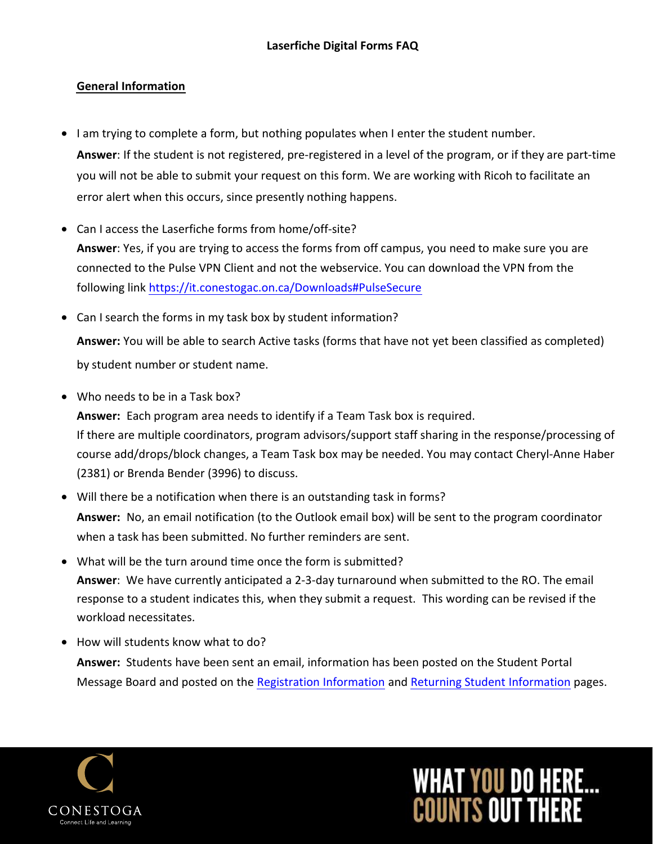### **General Information**

- • I am trying to complete a form, but nothing populates when I enter the student number. you will not be able to submit your request on this form. We are working with Ricoh to facilitate an **Answer**: If the student is not registered, pre-registered in a level of the program, or if they are part-time error alert when this occurs, since presently nothing happens.
- • Can I access the Laserfiche forms from home/off-site?  $\overline{a}$  connected to the Pulse VPN Client and not the webservice. You can download the VPN from the **Answer**: Yes, if you are trying to access the forms from off campus, you need to make sure you are following link <https://it.conestogac.on.ca/Downloads#PulseSecure>
- Can I search the forms in my task box by student information? **Answer:** You will be able to search Active tasks (forms that have not yet been classified as completed) by student number or student name.
- • Who needs to be in a Task box? **Answer:** Each program area needs to identify if a Team Task box is required. course add/drops/block changes, a Team Task box may be needed. You may contact Cheryl-Anne Haber If there are multiple coordinators, program advisors/support staff sharing in the response/processing of (2381) or Brenda Bender (3996) to discuss.
- **Answer:** No, an email notification (to the Outlook email box) will be sent to the program coordinator when a task has been submitted. No further reminders are sent. • Will there be a notification when there is an outstanding task in forms?
- • What will be the turn around time once the form is submitted? **Answer**: We have currently anticipated a 2-3-day turnaround when submitted to the RO. The email response to a student indicates this, when they submit a request. This wording can be revised if the workload necessitates.
- How will students know what to do?

**Answer:** Students have been sent an email, information has been posted on the Student Portal Message Board and posted on the Registration Information and Returning Student Information pages.



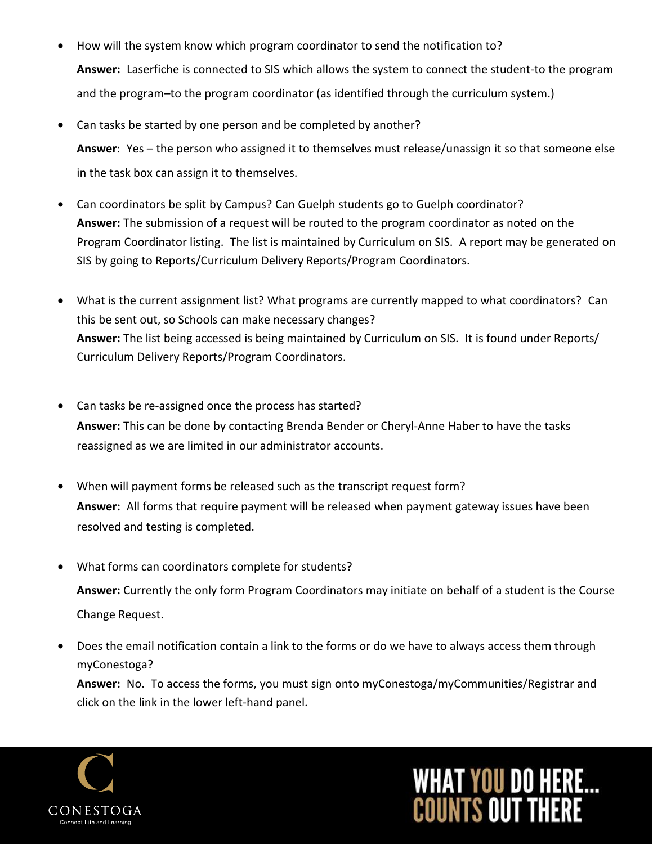- • How will the system know which program coordinator to send the notification to? **Answer:** Laserfiche is connected to SIS which allows the system to connect the student-to the program and the program–to the program coordinator (as identified through the curriculum system.)
- • Can tasks be started by one person and be completed by another? **Answer**: Yes – the person who assigned it to themselves must release/unassign it so that someone else in the task box can assign it to themselves.
- • Can coordinators be split by Campus? Can Guelph students go to Guelph coordinator? **Answer:** The submission of a request will be routed to the program coordinator as noted on the Program Coordinator listing. The list is maintained by Curriculum on SIS. A report may be generated on SIS by going to Reports/Curriculum Delivery Reports/Program Coordinators.
- • What is the current assignment list? What programs are currently mapped to what coordinators? Can this be sent out, so Schools can make necessary changes? **Answer:** The list being accessed is being maintained by Curriculum on SIS. It is found under Reports/ Curriculum Delivery Reports/Program Coordinators.
- • Can tasks be re-assigned once the process has started? **Answer:** This can be done by contacting Brenda Bender or Cheryl-Anne Haber to have the tasks reassigned as we are limited in our administrator accounts.
- • When will payment forms be released such as the transcript request form? **Answer:** All forms that require payment will be released when payment gateway issues have been resolved and testing is completed.
- • What forms can coordinators complete for students? **Answer:** Currently the only form Program Coordinators may initiate on behalf of a student is the Course Change Request.
- • Does the email notification contain a link to the forms or do we have to always access them through myConestoga?

 **Answer:** No. To access the forms, you must sign onto myConestoga/myCommunities/Registrar and click on the link in the lower left-hand panel.



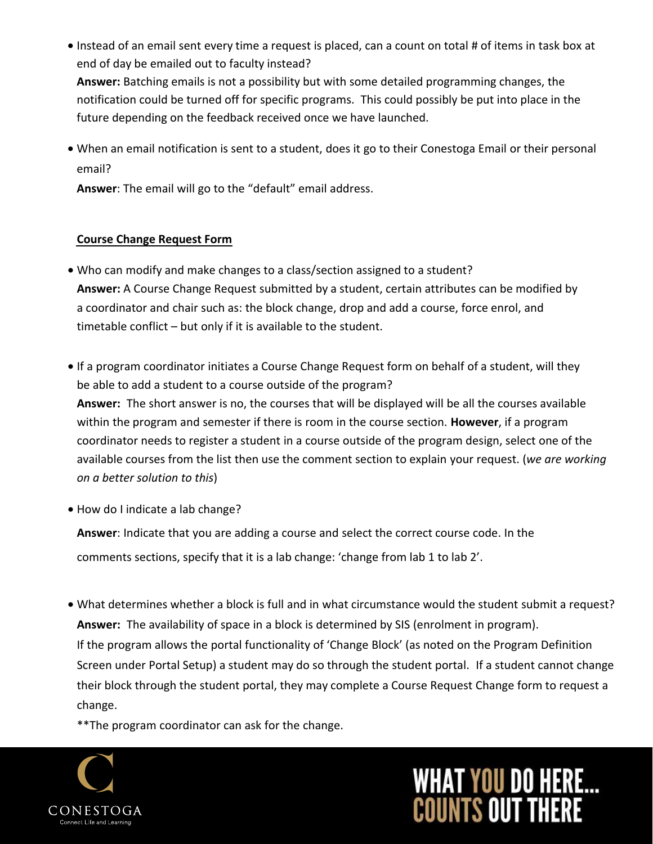• Instead of an email sent every time a request is placed, can a count on total # of items in task box at end of day be emailed out to faculty instead?

 **Answer:** Batching emails is not a possibility but with some detailed programming changes, the notification could be turned off for specific programs. This could possibly be put into place in the future depending on the feedback received once we have launched.

 $\overline{a}$ • When an email notification is sent to a student, does it go to their Conestoga Email or their personal email?

**Answer**: The email will go to the "default" email address.

#### **Course Change Request Form**

- • Who can modify and make changes to a class/section assigned to a student? **Answer:** A Course Change Request submitted by a student, certain attributes can be modified by a coordinator and chair such as: the block change, drop and add a course, force enrol, and timetable conflict – but only if it is available to the student.
- • If a program coordinator initiates a Course Change Request form on behalf of a student, will they be able to add a student to a course outside of the program?  $\overline{a}$  within the program and semester if there is room in the course section. **However**, if a program coordinator needs to register a student in a course outside of the program design, select one of the available courses from the list then use the comment section to explain your request. (*we are working on a better solution to this*) **Answer:** The short answer is no, the courses that will be displayed will be all the courses available
- How do I indicate a lab change?

 **Answer**: Indicate that you are adding a course and select the correct course code. In the comments sections, specify that it is a lab change: 'change from lab 1 to lab 2'.

 • What determines whether a block is full and in what circumstance would the student submit a request? **Answer:** The availability of space in a block is determined by SIS (enrolment in program). If the program allows the portal functionality of 'Change Block' (as noted on the Program Definition Screen under Portal Setup) a student may do so through the student portal. If a student cannot change their block through the student portal, they may complete a Course Request Change form to request a change.

\*\*The program coordinator can ask for the change.



# **WHAT YOU DO HERE...**<br>COUNTS OUT THERE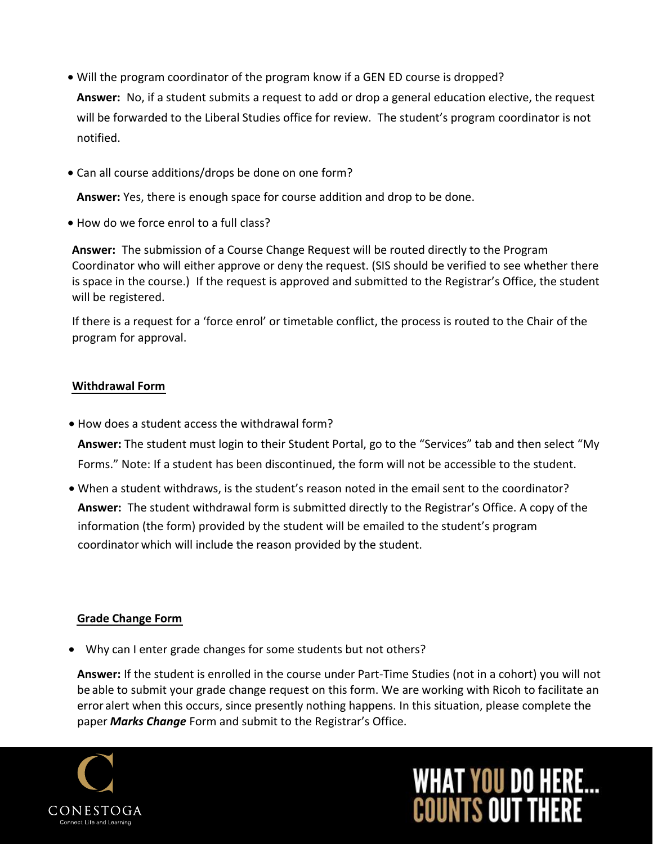- • Will the program coordinator of the program know if a GEN ED course is dropped? **Answer:** No, if a student submits a request to add or drop a general education elective, the request will be forwarded to the Liberal Studies office for review. The student's program coordinator is not notified.
- Can all course additions/drops be done on one form?

**Answer:** Yes, there is enough space for course addition and drop to be done.

• How do we force enrol to a full class?

 Coordinator who will either approve or deny the request. (SIS should be verified to see whether there is space in the course.) If the request is approved and submitted to the Registrar's Office, the student will be registered. **Answer:** The submission of a Course Change Request will be routed directly to the Program

 If there is a request for a 'force enrol' or timetable conflict, the process is routed to the Chair of the program for approval.

### **Withdrawal Form**

• How does a student access the withdrawal form?

 Forms." Note: If a student has been discontinued, the form will not be accessible to the student. **Answer:** The student must login to their Student Portal, go to the "Services" tab and then select "My

 $\overline{\phantom{a}}$ • When a student withdraws, is the student's reason noted in the email sent to the coordinator?<br>example in the conditional set of the student's reason in the condition of the condition of the condition of t information (the form) provided by the student will be emailed to the student's program coordinator which will include the reason provided by the student. **Answer:** The student withdrawal form is submitted directly to the Registrar's Office. A copy of the

# **Grade Change Form**

• Why can I enter grade changes for some students but not others?

 **Answer:** If the student is enrolled in the course under Part-Time Studies (not in a cohort) you will not be able to submit your grade change request on this form. We are working with Ricoh to facilitate an error alert when this occurs, since presently nothing happens. In this situation, please complete the paper *Marks Change* Form and submit to the Registrar's Office.